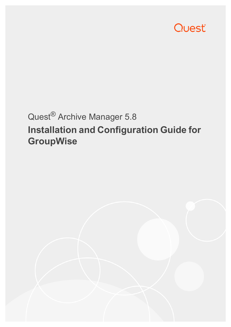

# Quest® Archive Manager 5.8 **Installation and Configuration Guide for GroupWise**

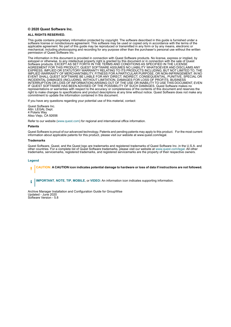#### **© 2020 Quest Software Inc.**

#### **ALL RIGHTS RESERVED.**

This guide contains proprietary information protected by copyright. The software described in this guide is furnished under a software license or nondisclosure agreement. This software may be used or copied only in accordance with the terms of the applicable agreement. No part of this guide may be reproduced or transmitted in any form or by any means, electronic or mechanical, including photocopying and recording for any purpose other than the purchaser's personal use without the written permission of Quest Software Inc.

The information in this document is provided in connection with Quest Software products. No license, express or implied, by estoppel or otherwise, to any intellectual property right is granted by this document or in connection with the sale of Quest<br>Software products. EXCEPT AS SET FORTH IN THE TERMS AND CONDITIONS AS SPECIFIED IN THE LICENSE<br>A EXPRESS, IMPLIED OR STATUTORY WARRANTY RELATING TO ITS PRODUCTS INCLUDING, BUT NOT LIMITED TO, THE IMPLIED WARRANTY OF MERCHANTABILITY, FITNESS FOR A PARTICULAR PURPOSE, OR NON-INFRINGEMENT. IN NO EVENT SHALL QUEST SOFTWARE BE LIABLE FOR ANY DIRECT, INDIRECT, CONSEQUENTIAL, PUNITIVE, SPECIAL OR INCIDENTAL DAMAGES (INCLUDING, WITHOUT LIMITATION, DAMAGES FOR LOSS OF PROFITS, BUSINESS<br>INTERRUPTION OR LOSS OF INFORMATION) ARISING OUT OF THE USE OR INABILITY TO USE THIS DOCUMENT, EVEN IF QUEST SOFTWARE HAS BEEN ADVISED OF THE POSSIBILITY OF SUCH DAMAGES. Quest Software makes no representations or warranties with respect to the accuracy or completeness of the contents of this document and reserves the right to make changes to specifications and product descriptions at any time without notice. Quest Software does not make any commitment to update the information contained in this document.

If you have any questions regarding your potential use of this material, contact:

Quest Software Inc. Attn: LEGAL Dept. 4 Polaris Way Aliso Viejo, CA 92656

Refer to our website [\(www.quest.com](http://www.quest.com)) for regional and international office information.

#### **Patents**

Quest Software is proud of our advanced technology. Patents and pending patents may apply to this product. For the most current information about applicable patents for this product, please visit our website at www.quest.com/legal.

#### **Trademarks**

Quest Software, Quest, and the Quest logo are trademarks and registered trademarks of Quest Software Inc. in the U.S.A. and other countries. For a complete list of Quest Software trademarks, please visit our website at [www.quest.com/legal](http://www.quest.com/legal). All other trademarks, servicemarks, registered trademarks, and registered servicemarks are the property of their respective owners.

#### **Legend**

**CAUTION: A CAUTION icon indicates potential damage to hardware or loss of data if instructions are not followed.** ţ

**IMPORTANT**, **NOTE**, **TIP**, **MOBILE**, or **VIDEO:** An information icon indicates supporting information.i

Archive Manager Installation and Configuration Guide for GroupWise Updated - June 2020 Software Version - 5.8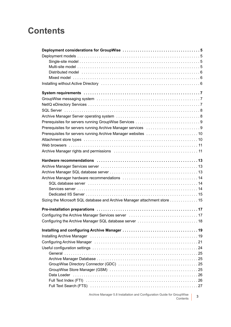### **Contents**

| Distributed model with contact to the control of the contact of the contact of the contact of the contact of t |
|----------------------------------------------------------------------------------------------------------------|
|                                                                                                                |
|                                                                                                                |
|                                                                                                                |
|                                                                                                                |
|                                                                                                                |
|                                                                                                                |
|                                                                                                                |
|                                                                                                                |
|                                                                                                                |
|                                                                                                                |
|                                                                                                                |
|                                                                                                                |
|                                                                                                                |
|                                                                                                                |
|                                                                                                                |
|                                                                                                                |
|                                                                                                                |
|                                                                                                                |
|                                                                                                                |
|                                                                                                                |
|                                                                                                                |
| Sizing the Microsoft SQL database and Archive Manager attachment store 15                                      |
|                                                                                                                |
|                                                                                                                |
|                                                                                                                |
|                                                                                                                |
| Installing Archive Manager (and all and all and all and all and all and all and all and all and all and all a  |
| Configuring Archive Manager (and all and all and all and all and all and all and all and all and all and all a |
|                                                                                                                |
|                                                                                                                |
|                                                                                                                |
|                                                                                                                |
|                                                                                                                |
|                                                                                                                |
|                                                                                                                |
|                                                                                                                |

Archive Manager 5.8 Installation and Configuration Guide for GroupWise Contents **<sup>3</sup>**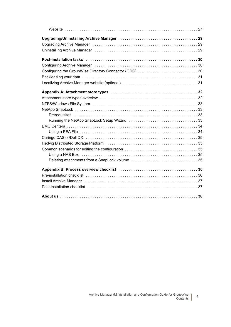| Uninstalling Archive Manager (and all and all and all and all and all and all and all and all and all and all a                                                                                                                |  |
|--------------------------------------------------------------------------------------------------------------------------------------------------------------------------------------------------------------------------------|--|
|                                                                                                                                                                                                                                |  |
| Configuring Archive Manager (and all contained and all contained and all configuring Archive Manager (and all contained and all contained and all contained and all contained and all contained and all contained and all cont |  |
| Configuring the GroupWise Directory Connector (GDC) 30                                                                                                                                                                         |  |
|                                                                                                                                                                                                                                |  |
|                                                                                                                                                                                                                                |  |
|                                                                                                                                                                                                                                |  |
|                                                                                                                                                                                                                                |  |
|                                                                                                                                                                                                                                |  |
|                                                                                                                                                                                                                                |  |
|                                                                                                                                                                                                                                |  |
| Running the NetApp SnapLock Setup Wizard 33                                                                                                                                                                                    |  |
|                                                                                                                                                                                                                                |  |
|                                                                                                                                                                                                                                |  |
|                                                                                                                                                                                                                                |  |
|                                                                                                                                                                                                                                |  |
|                                                                                                                                                                                                                                |  |
|                                                                                                                                                                                                                                |  |
|                                                                                                                                                                                                                                |  |
|                                                                                                                                                                                                                                |  |
|                                                                                                                                                                                                                                |  |
|                                                                                                                                                                                                                                |  |
| Post-installation checklist et al., respectively and contained a state in the post-installation checklist                                                                                                                      |  |
|                                                                                                                                                                                                                                |  |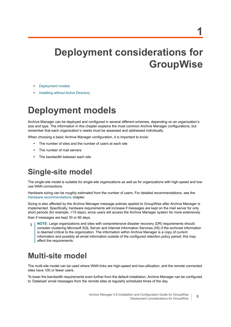**5**

# <span id="page-4-0"></span>**Deployment considerations for GroupWise**

- **•** [Deployment models](#page-4-1)
- **•** [Installing without Active Directory](#page-5-2)

## <span id="page-4-1"></span>**Deployment models**

Archive Manager can be deployed and configured in several different schemes, depending on an organization's size and type. The information in this chapter explains the most common Archive Manager configurations, but remember that each organization's needs must be assessed and addressed individually.

When choosing a basic Archive Manager configuration, it is important to know:

- **•** The number of sites and the number of users at each site
- **•** The number of mail servers
- **•** The bandwidth between each site

### <span id="page-4-2"></span>**Single-site model**

The single-site model is suitable for single-site organizations as well as for organizations with high-speed and lowuse WAN connections.

Hardware sizing can be roughly estimated from the number of users. For detailed recommendations, see the [Hardware recommendations](#page-12-3) chapter.

Sizing is also affected by the Archive Manager message policies applied to GroupWise after Archive Manager is implemented. Specifically, hardware requirements will increase if messages are kept on the mail server for only short periods (for example, <15 days), since users will access the Archive Manager system far more extensively than if messages are kept 30 or 60 days.

**NOTE:** Large organizations and sites with comprehensive disaster recovery (DR) requirements should consider clustering Microsoft SQL Server and Internet Information Services (IIS) if the archived information is deemed critical to the organization. The information within Archive Manager is a copy of current information and possibly all email information outside of the configured retention policy period; this may affect the requirements.

### <span id="page-4-3"></span>**Multi-site model**

The multi-site model can be used where WAN links are high-speed and low-utilization, and the remote connected sites have 100 or fewer users.

To lower the bandwidth requirements even further from the default installation, Archive Manager can be configured to 'Dataload' email messages from the remote sites at regularly scheduled times of the day.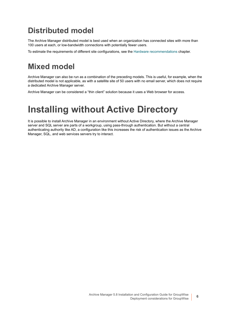### <span id="page-5-0"></span>**Distributed model**

The Archive Manager distributed model is best used when an organization has connected sites with more than 100 users at each, or low-bandwidth connections with potentially fewer users.

To estimate the requirements of different site configurations, see the [Hardware recommendations](#page-12-3) chapter.

### <span id="page-5-1"></span>**Mixed model**

Archive Manager can also be run as a combination of the preceding models. This is useful, for example, when the distributed model is not applicable, as with a satellite site of 50 users with no email server, which does not require a dedicated Archive Manager server.

Archive Manager can be considered a "thin client" solution because it uses a Web browser for access.

## <span id="page-5-2"></span>**Installing without Active Directory**

It is possible to install Archive Manager in an environment without Active Directory, where the Archive Manager server and SQL server are parts of a workgroup, using pass-through authentication. But without a central authenticating authority like AD, a configuration like this increases the risk of authentication issues as the Archive Manager, SQL, and web services servers try to interact.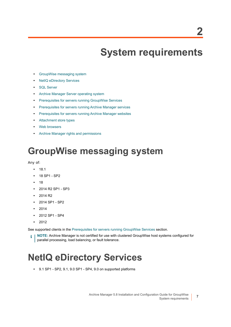# <span id="page-6-3"></span>**System requirements**

- <span id="page-6-0"></span>**•** [GroupWise messaging system](#page-6-1)
- **•** [NetIQ eDirectory Services](#page-6-2)
- **•** [SQL Server](#page-7-0)
- **•** [Archive Manager Server operating system](#page-7-1)
- **•** [Prerequisites for servers running GroupWise Services](#page-8-0)
- **•** [Prerequisites for servers running Archive Manager services](#page-8-1)
- **•** [Prerequisites for servers running Archive Manager websites](#page-9-0)
- **•** [Attachment store types](#page-9-1)
- **•** [Web browsers](#page-10-0)
- **•** [Archive Manager rights and permissions](#page-10-1)

## <span id="page-6-1"></span>**GroupWise messaging system**

Any of:

- **•** 18.1
- **•** 18 SP1 SP2
- **•** 18
- **•** 2014 R2 SP1 SP3
- **•** 2014 R2
- **•** 2014 SP1 SP2
- **•** 2014
- **•** 2012 SP1 SP4
- **•** 2012

See supported clients in the [Prerequisites for servers running GroupWise Services](#page-8-0) section.

**NOTE:** Archive Manager is not certified for use with clustered GroupWise host systems configured for i parallel processing, load balancing, or fault tolerance.

## <span id="page-6-2"></span>**NetIQ eDirectory Services**

**•** 9.1 SP1 - SP2, 9.1, 9.0 SP1 - SP4, 9.0 on supported platforms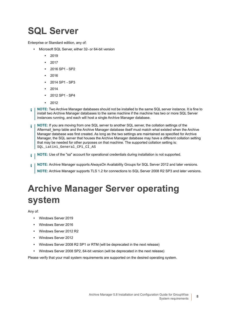# <span id="page-7-0"></span>**SQL Server**

Enterprise or Standard edition, any of:

- **•** Microsoft SQL Server, either 32- or 64-bit version
	- **•** 2019
	- **•** 2017
	- **•** 2016 SP1 SP2
	- **•** 2016
	- **•** 2014 SP1 SP3
	- **•** 2014
	- **•** 2012 SP1 SP4
	- **•** 2012
- **NOTE:** Two Archive Manager databases should not be installed to the same SQL server instance. It is fine to ÷ install two Archive Manager databases to the same machine if the machine has two or more SQL Server instances running, and each will host a single Archive Manager database.
- **NOTE:** If you are moving from one SQL server to another SQL server, the collation settings of the Aftermail temp table and the Archive Manager database itself must match what existed when the Archive Manager database was first created. As long as the two settings are maintained as specified for Archive Manager, the SQL server that houses the Archive Manager database may have a different collation setting that may be needed for other purposes on that machine. The supported collation setting is: SQL\_Latin1\_General\_CP1\_CI\_AS
- **NOTE:** Use of the "sa" account for operational credentials during installation is not supported. f.
- **NOTE:** Archive Manager supports AlwaysOn Availability Groups for SQL Server 2012 and later versions. î. **NOTE:** Archive Manager supports TLS 1.2 for connections to SQL Server 2008 R2 SP3 and later versions.

# <span id="page-7-1"></span>**Archive Manager Server operating system**

Any of:

- **•** Windows Server 2019
- **•** Windows Server 2016
- **•** Windows Server 2012 R2
- **•** Windows Server 2012
- **•** Windows Server 2008 R2 SP1 or RTM (will be deprecated in the next release)
- **•** Windows Server 2008 SP2, 64-bit version (will be deprecated in the next release)

Please verify that your mail system requirements are supported on the desired operating system.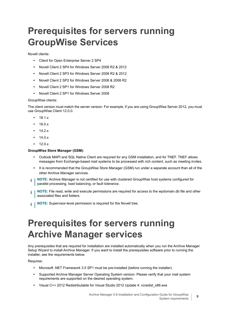## <span id="page-8-0"></span>**Prerequisites for servers running GroupWise Services**

Novell clients:

- **•** Client for Open Enterprise Server 2 SP4
- **•** Novell Client 2 SP4 for Windows Server 2008 R2 & 2012
- **•** Novell Client 2 SP3 for Windows Server 2008 R2 & 2012
- **•** Novell Client 2 SP2 for Windows Server 2008 & 2008 R2
- **•** Novell Client 2 SP1 for Windows Server 2008 R2
- **•** Novell Client 2 SP1 for Windows Server 2008

#### GroupWise clients:

The client version must match the server version. For example, if you are using GroupWise Server 2012, you must use GroupWise Client 12.0.0.

- **•** 18.1.x
- **•** 18.0.x
- **•** 14.2.x
- **•** 14.0.x
- **•** 12.0.x

#### **GroupWise Store Manager (GSM):**

- **•** Outlook MAPI and SQL Native Client are required for any GSM installation, and for TNEF. TNEF allows messages from Exchange-based mail systems to be processed with rich content, such as meeting invites.
- **•** It is recommended that the GroupWise Store Manager (GSM) run under a separate account than all of the other Archive Manager services.
- **NOTE:** Archive Manager is not certified for use with clustered GroupWise host systems configured for ÷ parallel processing, load balancing, or fault tolerance.
- **NOTE:** File read, write and execute permissions are required for access to the wpdomain.db file and other i associated files and folders.
- **NOTE:** Supervisor-level permission is required for the Novell tree.i l

## <span id="page-8-1"></span>**Prerequisites for servers running Archive Manager services**

Any prerequisites that are required for installation are installed automatically when you run the Archive Manager Setup Wizard to install Archive Manager. If you want to install the prerequisites software prior to running the installer, see the requirements below.

Requires:

- **•** Microsoft .NET Framework 3.5 SP1 must be pre-installed (before running the installer).
- **•** Supported Archive Manager Server Operating System version. Please verify that your mail system requirements are supported on the desired operating system.
- **•** Visual C++ 2012 Redistributable for Visual Studio 2012 Update 4: vcredist\_x86.exe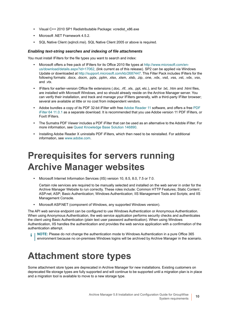- **•** Visual C++ 2010 SP1 Redistributable Package: vcredist\_x86.exe
- **•** Microsoft .NET Framework 4.5.2.
- **•** [SQL Native Client \(sqlncli.msi\). SQL Native Client 2005 or above is required.](https://docs.microsoft.com/en-us/powershell/azure/active-directory/install-adv2?view=azureadps-2.0)

#### *Enabling text-string searches and indexing of file attachments*

You must install IFilters for the file types you want to search and index:

- **•** Microsoft offers a free pack of IFilters for its Office 2010 file types at [http://www.microsoft.com/en](http://www.microsoft.com/en-us/download/details.aspx?id=17062)[us/download/details.aspx?id=17062](http://www.microsoft.com/en-us/download/details.aspx?id=17062), (link current as of this release). SP2 can be applied via Windows Update or downloaded at <http://support.microsoft.com/kb/2687447>. This Filter Pack includes IFilters for the following formats: .docx, .docm, .pptx, .pptm, .xlsx, .xlsm, .xlsb, .zip, .one, .vdx, .vsd, .vss, .vst, .vdx, .vsx, and .vtx.
- **•** IFilters for earlier-version Office file extensions (.doc, .rtf, .xls, .ppt, etc.), and for .txt, .htm and .html files, are installed with Microsoft Windows, and so should already reside on the Archive Manager server. You can verify their installation, and track and manage your IFilters generally, with a third-party IFilter browser; several are available at little or no cost from independent vendors.
- **•** Adobe bundles a copy of its PDF 32-bit iFilter with free [Adobe Reader 11](http://www.adobe.com/reader) software, and offers a free [PDF](http://www.adobe.com/support/downloads/detail.jsp?ftpID=5542)  [iFilter 64 11.0.1](http://www.adobe.com/support/downloads/detail.jsp?ftpID=5542) as a separate download. It is recommended that you use Adobe version 11 PDF IFilters, or FoxIt IFilters.
- **•** The Sumatra PDF Viewer includes a PDF iFilter that can be used as an alternative to the Adoble iFilter. For more information, see [Quest Knowledge Base Solution 146890.](https://support.quest.com/archive-manager/kb/146980)
- **•** Installing Adobe Reader X uninstalls PDF iFilters, which then need to be reinstalled. For additional information, see [www.adobe.com](http://www.adobe.com).

## <span id="page-9-0"></span>**Prerequisites for servers running Archive Manager websites**

**•** Microsoft Internet Information Services (IIS) version 10, 8.5, 8.0, 7.5 or 7.0.

Certain role services are required to be manually selected and installed on the web server in order for the Archive Manager Website to run correctly. These roles include: Common HTTP Features; Static Content ; ASP.net; ASP; Basic Authentication; Windows Authentication; IIS Management Tools and Scripts; and IIS Management Console.

**•** Microsoft ASP.NET (component of Windows, any supported Windows version).

The API web service endpoint can be configured to use Windows Authentication or Anonymous Authentication. When using Anonymous Authentication, the web service application performs security checks and authenticates the client using Basic Authentication (plain text user password authentication). When using Windows Authentication, IIS handles the authentication and provides the web service application with a confirmation of the authentication attempt.

**NOTE:** Please do not change the authentication mode to Windows Authentication in a pure Office 365 environment because no on-premises Windows logins will be archived by Archive Manager in the scenario.

### <span id="page-9-1"></span>**Attachment store types**

Some attachment store types are deprecated in Archive Manager for new installations. Existing customers on deprecated file storage types are fully supported and will continue to be supported until a migration plan is in place and a migration tool is available to move to a new storage type.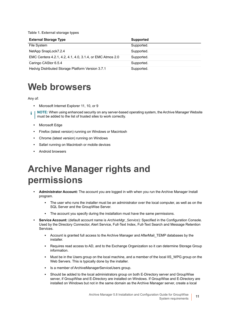**Table 1. External storage types**

| <b>External Storage Type</b>                              | <b>Supported</b> |
|-----------------------------------------------------------|------------------|
| File System                                               | Supported.       |
| NetApp SnapLock7.2.4                                      | Supported.       |
| EMC Centera 4.2.1, 4.2, 4.1, 4.0, 3.1.4, or EMC Atmos 2.0 | Supported.       |
| Caringo CAStor 6.5.4                                      | Supported.       |
| Hedvig Distributed Storage Platform Version 3.7.1         | Supported.       |

### <span id="page-10-0"></span>**Web browsers**

Any of:

- **•** Microsoft Internet Explorer 11, 10, or 9
- **NOTE:** When using enhanced security on any server-based operating system, the Archive Manager Website î must be added to the list of trusted sites to work correctly.
	- **•** Microsoft Edge
	- **•** Firefox (latest version) running on Windows or Macintosh
	- **•** Chrome (latest version) running on Windows
	- **•** Safari running on Macintosh or mobile devices
	- **•** Android browsers

## <span id="page-10-1"></span>**Archive Manager rights and permissions**

- **Administrator Account:** The account you are logged in with when you run the Archive Manager Install program.
	- **▪** The user who runs the installer must be an administrator over the local computer, as well as on the SQL Server and the GroupWise Server.
	- The account you specify during the installation must have the same permissions.
- **Service Account:** (default account name is *ArchiveMgr\_Service*): Specified in the Configuration Console. Used by the Directory Connector, Alert Service, Full-Text Index, Full-Text Search and Message Retention Services.
	- Account is granted full access to the Archive Manager and AfterMail TEMP databases by the installer.
	- **▪** Requires read access to AD, and to the Exchange Organization so it can determine Storage Group information.
	- Must be in the Users group on the local machine, and a member of the local IIS WPG group on the Web Servers. This is typically done by the installer.
	- **▪** Is a member of ArchiveManagerServiceUsers group.
	- **▪** Should be added to the local administrators group on both E-Directory server and GroupWise server, if GroupWise and E-Directory are installed on Windows. If GroupWise and E-Directory are installed on Windows but not in the same domain as the Archive Manager server, create a local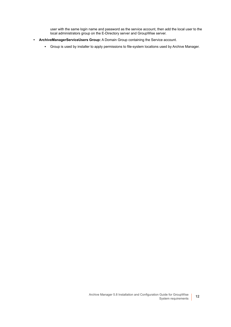user with the same login name and password as the service account, then add the local user to the local administrators group on the E-Directory server and GroupWise server.

- **ArchiveManagerServiceUsers Group:** A Domain Group containing the Service account.
	- **▪** Group is used by installer to apply permissions to file-system locations used by Archive Manager.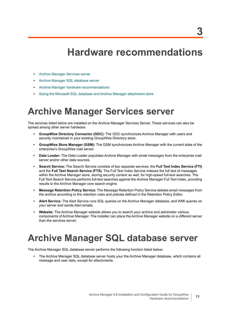## <span id="page-12-3"></span>**Hardware recommendations**

- <span id="page-12-0"></span>**•** [Archive Manager Services server](#page-12-1)
- **•** [Archive Manager SQL database server](#page-12-2)
- **•** [Archive Manager hardware recommendations](#page-13-0)
- **•** [Sizing the Microsoft SQL database and Archive Manager attachment store](#page-14-1)

## <span id="page-12-1"></span>**Archive Manager Services server**

The services listed below are installed on the Archive Manager Services Server. These services can also be spread among other server hardware.

- **GroupWise Directory Connector (GDC):** The GDC synchronizes Archive Manager with users and security maintained in your existing GroupWise Directory store.
- **GroupWise Store Manager (GSM):** The GSM synchronizes Archive Manager with the current state of the enterprise's GroupWise mail server.
- **Data Loader:** The Data Loader populates Archive Manager with email messages from the enterprise mail server and/or other data sources.
- **Search Service:** The Search Service consists of two separate services: the **Full Text Index Service (FTI)**  and the **Full Text Search Service (FTS)**. The Full Text Index Service indexes the full text of messages within the Archive Manager store, storing security context as well, for high-speed full-text searches. The Full Text Search Service performs full-text searches against the Archive Manager Full Text Index, providing results to the Archive Manager core search engine.
- **Message Retention Policy Service:** The Message Retention Policy Service deletes email messages from the archive according to the retention rules and policies defined in the Retention Policy Editor.
- **Alert Service:** The Alert Service runs SQL queries on the Archive Manager database, and WMI queries on your server and sends Alert emails.
- **Website:** The Archive Manager website allows you to search your archive and administer various components of Archive Manager. The installer can place the Archive Manager website on a different server than the services server.

## <span id="page-12-2"></span>**Archive Manager SQL database server**

The Archive Manager SQL database server performs the following function listed below:

**•** The Archive Manager SQL database server hosts your the Archive Manager database, which contains all message and user data, except for attachments.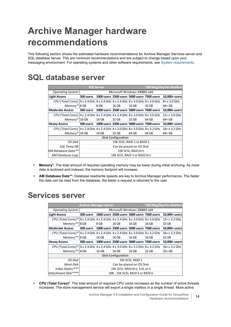# <span id="page-13-0"></span>**Archive Manager hardware recommendations**

This following section shows the estimated hardware recommendations for Archive Manager Services server and SQL database server. This are minimum recommendations and are subject to change based upon your messaging environment. For operating systems and other software requirements, see [System requirements](#page-6-3).

### <span id="page-13-1"></span>**SQL database server**

| <b>SQL Server</b>                                                                                                     |           |                              |                           | ~100 Msg/Day Per Mailbox |                                             |                  |
|-----------------------------------------------------------------------------------------------------------------------|-----------|------------------------------|---------------------------|--------------------------|---------------------------------------------|------------------|
| <b>Operating System</b>                                                                                               |           | Microsoft Windows 2008R2 x64 |                           |                          |                                             |                  |
| <b>Light Access</b>                                                                                                   | 500 users |                              |                           |                          | 1000 users 2500 users 5000 users 7500 users | 10,000+ users    |
| CPU (Total Cores)   4 x 2.4 GHz   4 x 2.4 GHz   4 x 2.4 GHz   8 x 3.0 GHz   8 x 3.0 GHz                               |           |                              |                           |                          |                                             | 8+ x 3.0 GHz     |
| Memory* 8 GB                                                                                                          |           | 8 GB                         | 16 GB                     | 16 GB                    | 32 GB                                       | $64+GB$          |
| <b>Moderate Access</b>                                                                                                | 500 users |                              |                           |                          | 1000 users 2500 users 5000 users 7500 users | 10,000+ users    |
| CPU (Total Cores) $ 4 \times 2.4$ GHz $ 4 \times 2.4$ GHz $ 4 \times 2.4$ GHz $ 8 \times 3.0$ GHz $ 8 \times 3.0$ GHz |           |                              |                           |                          |                                             | $12 + x 3.0$ GHz |
| Memory* 16 GB                                                                                                         |           | 16 GB                        | 32 GB                     | 32 GB                    | 64 GB                                       | $64+GB$          |
| <b>Heavy Access</b>                                                                                                   | 500 users |                              |                           |                          | 1000 users 2500 users 5000 users 7500 users | 10,000+ users    |
| CPU (Total Cores) $4 \times 2.4$ GHz $4 \times 2.4$ GHz $4 \times 3.0$ GHz $8 \times 3.0$ GHz $8 \times 3.2$ GHz      |           |                              |                           |                          |                                             | $16 + x 3.2$ GHz |
| Memory* 16 GB                                                                                                         |           | 16 GB                        | 32 GB                     | 64 GB                    | 64 GB                                       | 64+ GB           |
|                                                                                                                       |           |                              | <b>Disk Configuration</b> |                          |                                             |                  |
| OS Disk                                                                                                               |           | 15K SCSI, RAID 1 or RAID 5   |                           |                          |                                             |                  |
| SQL Temp DB                                                                                                           |           | Can be placed on OS Disk     |                           |                          |                                             |                  |
| AM Database Data**                                                                                                    |           | 15K SCSI, RAID 0+1           |                           |                          |                                             |                  |
| AM Database Logs                                                                                                      |           | 15K SCSI, RAID 1 or RAID 0+1 |                           |                          |                                             |                  |

- **Memory\***: The total amount of required operating memory may be lower during initial archiving. As more data is archived and indexed, the memory footprint will increase.
- **AM Database Data\*\*:** Database read/write speeds are key to Archive Manager performance. The faster the data can be read from the database, the faster a request is returned to the user.

|                                                                                                                        |                               | <b>Archive Manager Server</b>    |                                             |       |                                             | ~100 Msg/Day Per Mailbox |
|------------------------------------------------------------------------------------------------------------------------|-------------------------------|----------------------------------|---------------------------------------------|-------|---------------------------------------------|--------------------------|
| <b>Operating System</b>                                                                                                |                               | Microsoft Windows 2008R2 x64     |                                             |       |                                             |                          |
| <b>Light Access</b>                                                                                                    | 500 users                     |                                  | 1000 users 2500 users 5000 users 7500 users |       |                                             | 10,000+ users            |
| CPU (Total Cores)*   4 x 2.4 GHz   4 x 2.4 GHz   4 x 2.4 GHz   8 x 3.0 GHz   8 x 3.0 GHz                               |                               |                                  |                                             |       |                                             | $12+x3.2$ GHz            |
| Memory** 8 GB                                                                                                          |                               | 8 GB                             | 16 GB                                       | 16 GB | 16 GB                                       | 32 GB                    |
| <b>Moderate Access</b>                                                                                                 | 500 users                     |                                  | 1000 users 2500 users 5000 users 7500 users |       |                                             | 10,000+ users            |
| CPU (Total Cores)*   4 x 2.4 GHz   4 x 2.4 GHz   4 x 2.4 GHz   8 x 3.0 GHz   8 x 3.2 GHz                               |                               |                                  |                                             |       |                                             | $16 + x 3.2$ GHz         |
| Memory** 8 GB                                                                                                          |                               | 16 GB                            | 16 GB                                       | 16 GB | 16 GB                                       | 32 GB                    |
| <b>Heavy Access</b>                                                                                                    | 500 users                     |                                  |                                             |       | 1000 users 2500 users 5000 users 7500 users | 10,000+ users            |
| CPU (Total Cores)* $ 4 \times 2.4$ GHz $ 4 \times 2.4$ GHz $ 4 \times 3.0$ GHz $ 8 \times 3.2$ GHz $ 8 \times 3.2$ GHz |                               |                                  |                                             |       |                                             | $16 + x 3.2$ GHz         |
| Memory** 8 GB                                                                                                          |                               | 16 GB                            | 16 GB                                       | 16 GB | 32 GB                                       | $32+GB$                  |
|                                                                                                                        |                               |                                  | <b>Disk Configuration</b>                   |       |                                             |                          |
| OS Disk                                                                                                                |                               | 15K SCSI, RAID 1                 |                                             |       |                                             |                          |
| Work Disk                                                                                                              |                               | Can be placed on OS Disk         |                                             |       |                                             |                          |
| Index Disk(s)***                                                                                                       | 15K SCSI, RAID 0+1, 1+0, or 5 |                                  |                                             |       |                                             |                          |
| Attachment Disk****                                                                                                    |                               | 10K - 15K SCSI, RAID 5 or RAID 6 |                                             |       |                                             |                          |

### <span id="page-13-2"></span>**Services server**

**• CPU (Total Cores)\***: The total amount of required CPU cores increases as the number of active threads increases. The store management service will export a single mailbox in a single thread. More active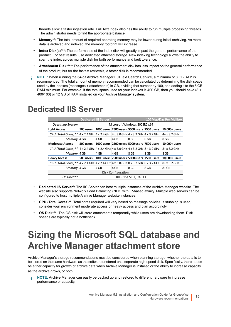threads allow a faster ingestion rate. Full Text Index also has the ability to run multiple processing threads. The administrator needs to find the appropriate balance.

- **Memory\*\***: The total amount of required operating memory may be lower during initial archiving. As more data is archived and indexed, the memory footprint will increase.
- **Index Disk(s)\*\*\***: The performance of the index disk will greatly impact the general performance of the product. For best results, use dedicated attached storage. New indexing technology allows the ability to span the index across multiple disk for both performance and fault tolerance.
- **Attachment Disk\*\*\*\***: The performance of the attachment disk has less impact on the general performance of the product, but for the fastest retrievals, a faster disk is recommended.
- **NOTE:** When running the 64-bit Archive Manager Full Text Search Service, a minimum of 8 GB RAM is ÷ recommended. The total amount of memory recommended can be calculated by determining the disk space used by the indexes (messages + attachments) in GB, dividing that number by 100, and adding it to the 8 GB RAM minimum. For example, if the total space used for your indexes is 400 GB, then you should have (8 + 400/100) or 12 GB of RAM installed on your Archive Manager system.

|                                                                                                                     | <b>Dedicated IIS Server*</b> |      |      |                                             |      | ~100 Msg/Day Per Mailbox |
|---------------------------------------------------------------------------------------------------------------------|------------------------------|------|------|---------------------------------------------|------|--------------------------|
| <b>Operating System</b>                                                                                             |                              |      |      | Microsoft Windows 2008R2 x64                |      |                          |
| <b>Light Access</b>                                                                                                 | 500 users                    |      |      | 1000 users 2500 users 5000 users 7500 users |      | 10,000+ users            |
| CPU (Total Cores) ** $4 \times 2.4$ GHz $4 \times 2.4$ GHz $4 \times 3.0$ GHz $4 \times 3.2$ GHz $4 \times 3.2$ GHz |                              |      |      |                                             |      | $4 + x 3.2$ GHz          |
| Memory 4 GB                                                                                                         |                              | 4 GB | 4 GB | 8 GB                                        | 8 GB | 8 GB                     |
| <b>Moderate Access</b>                                                                                              | 500 users                    |      |      | 1000 users 2500 users 5000 users 7500 users |      | 10,000+ users            |
| CPU (Total Cores) **   4 x 2.4 GHz   4 x 2.4 GHz   4 x 3.0 GHz   4 x 3.2 GHz   8 x 3.2 GHz                          |                              |      |      |                                             |      | 8+ x 3.2 GHz             |
| Memory 4 GB                                                                                                         |                              | 4 GB | 4 GB | 8 GB                                        | 8 GB | 8 GB                     |
| <b>Heavy Access</b>                                                                                                 | 500 users                    |      |      | 1000 users 2500 users 5000 users 7500 users |      | 10,000+ users            |
| CPU (Total Cores)**   4 x 2.4 GHz   4 x 2.4 GHz   4 x 3.0 GHz   8 x 3.2 GHz   8 x 3.2 GHz                           |                              |      |      |                                             |      | $8 + x 3.2$ GHz          |
| Memory 4 GB                                                                                                         |                              | 4 GB | 4 GB | 8 GB                                        | 8 GB | $8 + GB$                 |
| <b>Disk Configuration</b>                                                                                           |                              |      |      |                                             |      |                          |
| OS Disk***                                                                                                          |                              |      |      | 10K - 15K SCSI, RAID 1                      |      |                          |

### <span id="page-14-0"></span>**Dedicated IIS Server**

- **Dedicated IIS Server\*:** The IIS Server can host multiple instances of the Archive Manager website. The website also supports Network Load Balancing (NLB) with IP-based affinity. Multiple web servers can be configured to host multiple Archive Manager website instances.
- **CPU (Total Cores)\*\*:** Total cores required will vary based on message policies. If stubbing is used, consider your environment moderate access or heavy access and plan accordingly.
- **OS Disk\*\*\*:** The OS disk will store attachments temporarily while users are downloading them. Disk speeds are typically not a bottleneck.

## <span id="page-14-1"></span>**Sizing the Microsoft SQL database and Archive Manager attachment store**

Archive Manager's storage recommendations must be considered when planning storage, whether the data is to be stored on the same hardware as the software or stored on a separate high-speed disk. Specifically, there needs be either capacity for growth of archive data when Archive Manager is installed or the ability to increase capacity as the archive grows, or both.

**NOTE:** Archive Manager can easily be backed up and restored to different hardware to increase performance or capacity.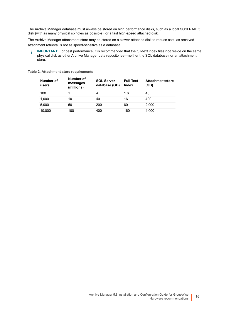The Archive Manager database must always be stored on high performance disks, such as a local SCSI RAID 5 disk (with as many physical spindles as possible), or a fast high-speed attached disk.

The Archive Manager attachment store may be stored on a slower attached disk to reduce cost, as archived attachment retrieval is not as speed-sensitive as a database.

**IMPORTANT:** For best performance, it is recommended that the full-text index files **not** reside on the same i. physical disk as other Archive Manager data repositories—neither the SQL database nor an attachment store.

#### **Table 2. Attachment store requirements**

| Number of<br>users | Number of<br>messages<br>(millions) | <b>SQL Server</b><br>database (GB) | <b>Full Text</b><br>Index | <b>Attachment store</b><br>(GB) |
|--------------------|-------------------------------------|------------------------------------|---------------------------|---------------------------------|
| 100                |                                     | 4                                  | 1.6                       | 40                              |
| 1,000              | 10                                  | 40                                 | 16                        | 400                             |
| 5,000              | 50                                  | 200                                | 80                        | 2,000                           |
| 10,000             | 100                                 | 400                                | 160                       | 4,000                           |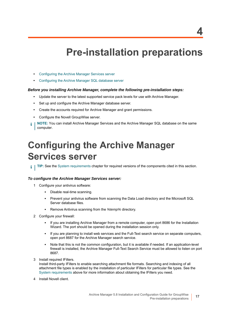## **Pre-installation preparations**

- <span id="page-16-0"></span>**•** [Configuring the Archive Manager Services server](#page-16-1)
- **•** [Configuring the Archive Manager SQL database server](#page-17-0)

#### *Before you installing Archive Manager, complete the following pre-installation steps:*

- **•** Update the server to the latest supported service pack levels for use with Archive Manager.
- **•** Set up and configure the Archive Manager database server.
- **•** Create the accounts required for Archive Manager and grant permissions.
- **•** Configure the Novell GroupWise server.
- **NOTE:** You can install Archive Manager Services and the Archive Manager SQL database on the same i computer.

## <span id="page-16-2"></span><span id="page-16-1"></span>**Configuring the Archive Manager Services server**

**TIP:** See the [System requirements](#page-6-3) chapter for required versions of the components cited in this section.i I

#### *To configure the Archive Manager Services server:*

- 1 Configure your antivirus software:
	- **▪** Disable real-time scanning.
	- **▪** Prevent your antivirus software from scanning the Data Load directory and the Microsoft SQL Server database files.
	- **▪** Remove Antivirus scanning from the *%temp%* directory.
- 2 Configure your firewall:
	- **▪** If you are installing Archive Manager from a remote computer, open port 8686 for the Installation Wizard. The port should be opened during the installation session only.
	- **▪** If you are planning to install web services and the Full-Text search service on separate computers, open port 8687 for the Archive Manager search service.
	- **▪** Note that this is not the common configuration, but it is available if needed. If an application-level firewall is installed, the Archive Manager Full-Text Search Service must be allowed to listen on port 8687.
- 3 Install required IFilters.

Install third-party IFilters to enable searching attachment file formats. Searching and indexing of all attachment file types is enabled by the installation of particular IFilters for particular file types. See the [System requirements](#page-6-3) above for more information about obtaining the IFilters you need.

4 Install Novell client.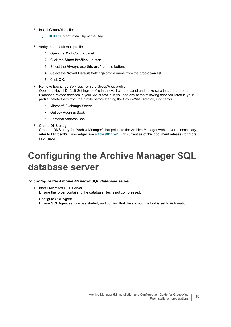- 5 Install GroupWise client.
	- **i** | NOTE: Do not install Tip of the Day.
- 6 Verify the default mail profile.
	- 1 Open the **Mail** Control panel.
	- 2 Click the **Show Profiles...** button.
	- 3 Select the **Always use this profile** radio button.
	- 4 Select the **Novell Default Settings** profile name from the drop-down list.
	- 5 Click **OK**.
- 7 Remove Exchange Services from the GroupWise profile.

Open the Novell Default Settings profile in the Mail control panel and make sure that there are no Exchange related services in your MAPI profile. If you see any of the following services listed in your profile, delete them from the profile before starting the GroupWise Directory Connector:

- **▪** Microsoft Exchange Server
- **Outlook Address Book**
- **▪** Personal Address Book
- 8 Create DNS entry.

Create a DNS entry for "ArchiveManager" that points to the Archive Manager web server. If necessary, refer to Microsoft's KnowledgeBase [article #814591](http://support.microsoft.com/kb/814591) (link current as of this document release) for more information.

## <span id="page-17-1"></span><span id="page-17-0"></span>**Configuring the Archive Manager SQL database server**

#### *To configure the Archive Manager SQL database server:*

- 1 Install Microsoft SQL Server. Ensure the folder containing the database files is not compressed.
- 2 Configure SQL Agent. Ensure SQL Agent service has started, and confirm that the start-up method is set to Automatic.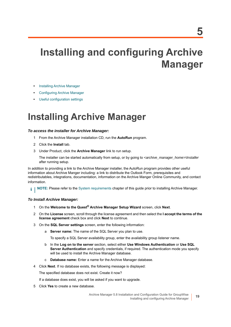# <span id="page-18-4"></span><span id="page-18-0"></span>**Installing and configuring Archive Manager**

- **•** [Installing Archive Manager](#page-18-1)
- **•** [Configuring Archive Manager](#page-20-0)
- **•** [Useful configuration settings](#page-23-0)

## <span id="page-18-3"></span><span id="page-18-1"></span>**Installing Archive Manager**

#### *To access the installer for Archive Manager:*

- 1 From the Archive Manager installation CD, run the **AutoRun** program.
- 2 Click the **Install** tab.
- 3 Under Product, click the **Archive Manager** link to run setup.

The installer can be started automatically from setup, or by going to *<archive\_manager\_home>\Installer* after running setup.

In addition to providing a link to the Archive Manager installer, the AutoRun program provides other useful information about Archive Manger including: a link to distribute the Outlook Form, prerequisites and redistributables, integrations, documentation, information on the Archive Manger Online Community, and contact information.

**NOTE:** Please refer to the [System requirements](#page-6-3) chapter of this guide prior to installing Archive Manager.i I

#### *To Install Archive Manager:*

- 1 On the **Welcome to the Quest® Archive Manager Setup Wizard** screen, click **Next**.
- 2 On the **License** screen, scroll through the license agreement and then select the **I accept the terms of the license agreement** check box and click **Next** to continue.
- <span id="page-18-2"></span>3 On the **SQL Server settings** screen, enter the following information:
	- a **Server name:** The name of the SQL Server you plan to use.

To specify a SQL Server availability group, enter the availability group listener name.

- b In the **Log on to the server** section, select either **Use Windows Authentication** or **Use SQL Server Authentication** and specify credentials, if required. The authentication mode you specify will be used to install the Archive Manager database.
- c **Database name:** Enter a name for the Archive Manager database.
- 4 Click **Next**. If no database exists, the following message is displayed:

The specified database does not exist. Create it now?

If a database does exist, you will be asked if you want to upgrade.

5 Click **Yes** to create a new database.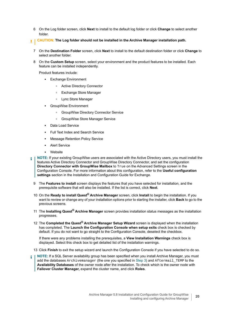- 6 On the Log folder screen, click **Next** to install to the default log folder or click **Change** to select another folder.
- **CAUTION: The Log folder should not be installed in the Archive Manager installation path.** Ū.
	- 7 On the **Destination Folder** screen, click **Next** to install to the default destination folder or click **Change** to select another folder.
	- 8 On the **Custom Setup** screen, select your environment and the product features to be installed. Each feature can be installed independently.

Product features include:

- **▪** Exchange Environment
	- **▫** Active Directory Connector
	- **▫** Exchange Store Manager
	- **▫** Lync Store Manager
- **▪** GroupWise Environment
	- **▫** GroupWise Directory Connector Service
	- **▫** GroupWise Store Manager Service
- **Data Load Service**
- **▪** Full Text Index and Search Service
- **Message Retention Policy Service**
- **Alert Service**
- **▪** Website
- **NOTE:** If your existing GroupWise users are associated with the Active Directory users, you must install the features Active Directory Connector and GroupWise Directory Connector, and set the configuration **Directory Connector with GroupWise Mailbox** to True on the Advanced Settings screen in the Configuration Console. For more information about this configuration, refer to the **Useful configuration settings** section in the Installation and Configuration Guide for Exchange.
- 9 The **Features to install** screen displays the features that you have selected for installation, and the prerequisite software that will also be installed. If the list is correct, click **Next**.
- 10 On the **Ready to install Quest® Archive Manager** screen, click **Install** to begin the installation. If you want to review or change any of your installation options prior to starting the installer, click **Back** to go to the previous screens.
- 11 The **Installing Quest® Archive Manager** screen provides installation status messages as the installation progresses.
- 12 The **Completed the Quest® Archive Manager Setup Wizard** screen is displayed when the installation has completed. The **Launch the Configuration Console when setup exits** check box is checked by default. If you do not want to go straight to the Configuration Console, deselect the checkbox.

If there were any problems installing the prerequisites, a **View Installation Warnings** check box is displayed. Select this check box to get detailed list of the installation warnings.

13 Click **Finish** to exit the setup wizard and launch the Configuration Console if you have selected to do so.

**NOTE:** If a SQL Server availability group has been specified when you install Archive Manager, you must i add the databases Archivemanager (the one you specified in [Step 3](#page-18-2)) and Aftermail\_TEMP to the **Availability Databases** of the owner node after the installation. To check which is the owner node with **Failover Cluster Manager,** expand the cluster name, and click **Roles**.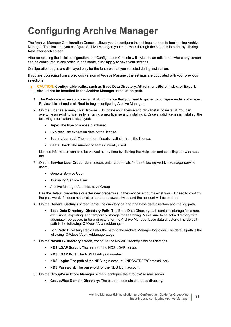# <span id="page-20-0"></span>**Configuring Archive Manager**

The Archive Manager Configuration Console allows you to configure the settings needed to begin using Archive Manager. The first time you configure Archive Manager, you must walk through the screens in order by clicking **Next** after each screen.

After completing the initial configuration, the Configuration Console will switch to an edit mode where any screen can be configured in any order. In edit mode, click **Apply** to save your settings.

Configuration pages are displayed only for the features that you selected during installation.

If you are upgrading from a previous version of Archive Manager, the settings are populated with your previous selections.

#### **CAUTION: Configurable paths, such as Base Data Directory, Attachment Store, Index, or Export,**  п **should not be installed in the Archive Manager installation path.**

- 1 The **Welcome** screen provides a list of information that you need to gather to configure Archive Manager. Review this list and click **Next** to begin configuring Archive Manager.
- 2 On the **License** screen, click **Browse...** to locate your license and click **Install** to install it. You can overwrite an existing license by entering a new license and installing it. Once a valid license is installed, the following information is displayed:
	- **Type:** The type of license purchased.
	- **Expires:** The expiration date of the license.
	- **Seats Licensed:** The number of seats available from the license.
	- **Seats Used:** The number of seats currently used.

License information can also be viewed at any time by clicking the Help icon and selecting the **Licenses** tab.

- 3 On the **Service User Credentials** screen, enter credentials for the following Archive Manager service users:
	- **▪** General Service User
	- **▪** Journaling Service User
	- **▪** Archive Manager Administrative Group

Use the default credentials or enter new credentials. If the service accounts exist you will need to confirm the password. If it does not exist, enter the password twice and the account will be created.

- 4 On the **General Settings** screen, enter the directory path for the base data directory and the log path.
	- **Base Data Directory: Directory Path:** The Base Data Directory path contains storage for errors, exclusions, exporting, and temporary storage for searching. Make sure to select a directory with adequate free space. Enter a directory for the Archive Manager base data directory. The default path is the following: C:\Quest\ArchiveManager
	- **Log Path: Directory Path:** Enter the path to the Archive Manager log folder. The default path is the following: C:\Quest\ArchiveManager\Logs
- 5 On the **Novell E-Directory** screen, configure the Novell Directory Services settings.
	- **NDS LDAP Server:** The name of the NDS LDAP server.
	- **NDS LDAP Port:** The NDS LDAP port number.
	- **NDS Login:** The path of the NDS login account. (NDS:\\TREE\Context\User)
	- **NDS Password**: The password for the NDS login account.
- 6 On the **GroupWise Store Manager** screen, configure the GroupWise mail server.
	- **GroupWise Domain Directory:** The path the domain database directory.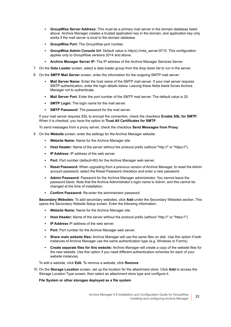- **GroupWise Server Address:** This must be a primary mail server in the domain database listed above. Archive Manager creates a trusted application key in the domain, and application key only works if the mail server is local to the domain database.
- **GroupWise Port:** The GroupWise port number.
- **GroupWise Admin Console Url**: Default value is http(s)://mta\_server:9710. This configuration applies only to GroupWise versions 2014 and above.
- **Archive Manager Server IP:** The IP address of the Archive Manager Services Server.
- 7 On the **Data Loader** screen, select a data loader group from the drop down list to run in the server.
- 8 On the **SMTP Mail Server** screen, enter the information for the outgoing SMTP mail server:
	- **Mail Server Name:** Enter the host name of the SMTP mail server. If your mail server requires SMTP authentication, enter the login details below. Leaving these fields blank forces Archive Manager not to authenticate.
	- **Mail Server Port**: Enter the port number of the SMTP mail server. The default value is 25.
	- **SMTP Login:** The login name for the mail server.
	- **SMTP Password:** The password for the mail server.

If your mail server requires SSL to encrypt the connection, check the checkbox **Enable SSL for SMTP**; When it is checked, you have the option to **Trust All Certificates for SMTP**.

To send messages from a proxy server, check the checkbox **Send Messages from Proxy**.

- 9 On the **Website** screen, enter the settings for the Archive Manager website:
	- **Website Name:** Name for the Archive Manager site.
	- **Host Header:** Name of the server without the protocol prefix (without "http://" or "https://").
	- **IP Address:** IP address of the web server.
	- **Port:** Port number (default=80) for the Archive Manager web server.
	- **Reset Password:** When upgrading from a previous version of Archive Manager, to reset the Admin account password, select the Reset Password checkbox and enter a new password.
	- **Admin Password:** Password for the Archive Manager administrator. You cannot leave the password blank. Note that the Archive Administrator's login name is *Admin*, and this cannot be changed at the time of installation.
	- **Confirm Password:** Re-enter the administrator password.

**Secondary Websites:** To add secondary websites, click **Add** under the Secondary Websites section. This opens the Secondary Website Setup screen. Enter the following information:

- **Website Name:** Name for the Archive Manager site.
- **Host Header:** Name of the server without the protocol prefix (without "http://" or "https://").
- **IP Address IP address of the web server.**
- **Port:** Port number for the Archive Manager web server.
- **Share main website files:** Archive Manager will use the same files on disk. Use this option if both instances of Archive Manager use the same authentication type (e.g. Windows or Forms).
- **Create separate files for this website:** Archive Manager will create a copy of the website files for the new website. Use this option if you need different authentication schemes for each of your website instances.

To edit a website, click **Edit**. To remove a website, click **Remove**.

10 On the **Storage Location** screen, set up the location for the attachment store. Click **Add** to access the Storage Location Type screen, then select an attachment store type and configure it.

#### **File System or other storages deployed as a file system**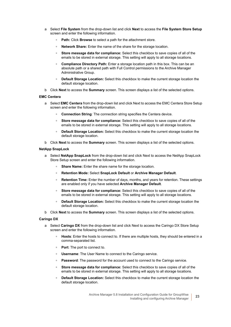- a Select **File System** from the drop-down list and click **Next** to access the **File System Store Setup** screen and enter the following information.
	- **Path:** Click **Browse** to select a path for the attachment store.
	- **Network Share:** Enter the name of the share for the storage location.
	- **Store message data for compliance:** Select this checkbox to save copies of all of the emails to be stored in external storage. This setting will apply to all storage locations.
	- **Compliance Directory Path:** Enter a storage location path in this box. This can be an absolute path or a shared path with Full Control permissions to the Archive Manager Administrative Group.
	- **Default Storage Location:** Select this checkbox to make the current storage location the default storage location.
- b Click **Next** to access the **Summary** screen. This screen displays a list of the selected options.

#### **EMC Centera**

- a Select **EMC Centera** from the drop-down list and click Next to access the EMC Centera Store Setup screen and enter the following information.
	- **□ Connection String:** The connection string specifies the Centera device.
	- **Store message data for compliance:** Select this checkbox to save copies of all of the emails to be stored in external storage. This setting will apply to all storage locations.
	- **□ Default Storage Location:** Select this checkbox to make the current storage location the default storage location.
- b Click **Next** to access the **Summary** screen. This screen displays a list of the selected options.

#### **NetApp SnapLock**

- a Select **NetApp SnapLock** from the drop-down list and click Next to access the NetApp SnapLock Store Setup screen and enter the following information.
	- **<b>• Share Name:** Enter the share name for the storage location.
	- **Retention Mode:** Select **SnapLock Default** or **Archive Manager Default**.
	- **Retention Time:** Enter the number of days, months, and years for retention. These settings are enabled only if you have selected **Archive Manager Default**.
	- **Store message data for compliance:** Select this checkbox to save copies of all of the emails to be stored in external storage. This setting will apply to all storage locations.
	- **□ Default Storage Location:** Select this checkbox to make the current storage location the default storage location.
- b Click **Next** to access the **Summary** screen. This screen displays a list of the selected options.

#### **Caringo DX**

- a Select **Caringo DX** from the drop-down list and click Next to access the Caringo DX Store Setup screen and enter the following information.
	- **Hosts**: Enter the hosts to connect to. If there are multiple hosts, they should be entered in a comma-separated list.
	- **Port**: The port to connect to.
	- **Username**: The User Name to connect to the Caringo service.
	- **Password:** The password for the account used to connect to the Caringo service.
	- **Store message data for compliance:** Select this checkbox to save copies of all of the emails to be stored in external storage. This setting will apply to all storage locations.
	- **Default Storage Location:** Select this checkbox to make the current storage location the default storage location.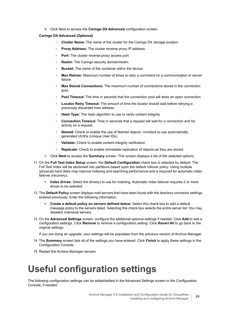b Click Next to access the **Caringo DX Advanced** configuration screen.

#### **Caringo DX Advanced (Optional)**

- **Cluster Name:** The name of the cluster for the Caringo DX storage location.
- **Proxy Address:** The cluster reverse proxy IP address.
- Port: The cluster reverse proxy access port.
- **Realm:** The Caringo security domain/realm.
- **Bucket:** The name of the container within the device.
- **Max Retries:** Maximum number of times to retry a command on a communication or server failure.
- **Max Stored Connections:** The maximum number of connections stored in the connection pool.
- **□ Pool Timeout:** The time in seconds that the connection pool will store an open connection.
- **Locator Retry Timeout:** The amount of time the locator should wait before retrying a previously discarded host address.
- **Hash Type:** The hash algorithm to use to verify content integrity.
- **Connection Timeout:** Time in seconds that a request will wait for a connection and for activity on a request.
- **Named:** Check to enable the use of Named objects. Uncheck to use automatically generated UUIDs (Unique User IDs).
- **Validate:** Check to enable content integrity verification.
- **Replicate:** Check to enable immediate replication of objects as they are stored.
- c Click **Next** to access the **Summary** screen. This screen displays a list of the selected options.
- 11 On the **Full Text Index Setup** screen, the **Default Configuration** check box is selected by default. The Full Text Index will be sectioned into partitions based upon the default rollover policy. Using multiple (physical) hard disks may improve indexing and searching performance and is required for automatic index failover (recovery).
	- **Index drives:** Select the drive(s) to use for indexing. Automatic index failover requires 2 or more drives to be selected.
- 12 The **Default Policy** screen displays mail servers that have been found with the directory connector settings entered previously. Enter the following information.
	- **Create a default policy on servers defined below:** Select this check box to add a default message policy to the servers listed. Selecting this check box selects the entire server list. You may deselect individual servers.
- 13 On the **Advanced Settings** screen, configure the additional optional settings if needed. Click **Add** to add a configuration settings. Click **Remove** to remove a configuration setting. Click **Revert All** to go back to the original settings.

If you are doing an upgrade, your settings will be populated from the previous version of Archive Manager.

- 14 The **Summary** screen lists all of the settings you have entered. Click **Finish** to apply these settings in the Configuration Console.
- 15 Restart the Archive Manager servers.

### <span id="page-23-0"></span>**Useful configuration settings**

The following configuration settings can be added/edited in the Advanced Settings screen in the Configuration Console, if needed.

> Archive Manager 5.8 Installation and Configuration Guide for GroupWise Installing and configuring Archive Manager **<sup>24</sup>**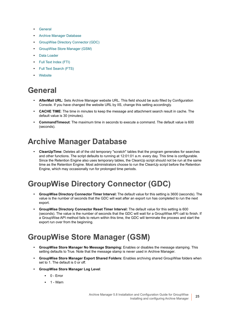- **•** [General](#page-24-0)
- **•** [Archive Manager Database](#page-24-1)
- **•** [GroupWise Directory Connector \(GDC\)](#page-24-2)
- **•** [GroupWise Store Manager \(GSM\)](#page-24-3)
- **•** [Data Loader](#page-25-0)
- **•** [Full Text Index \(FTI\)](#page-25-1)
- **•** [Full Text Search \(FTS\)](#page-26-0)
- **•** [Website](#page-26-1)

### <span id="page-24-0"></span>**General**

- **AfterMail URL**: Sets Archive Manager website URL. This field should be auto filled by Configuration Console. If you have changed the website URL by IIS, change this setting accordingly.
- **CACHE TIME**: The time in minutes to keep the message and attachment search result in cache. The default value is 30 (minutes).
- **CommandTimeout**: The maximum time in seconds to execute a command. The default value is 600 (seconds).

### <span id="page-24-1"></span>**Archive Manager Database**

**• CleanUpTime:** Deletes all of the old temporary "scratch" tables that the program generates for searches and other functions. The script defaults to running at 12:01:01 a.m. every day. This time is configurable. Since the Retention Engine also uses temporary tables, the CleanUp script should not be run at the same time as the Retention Engine. Most administrators choose to run the CleanUp script before the Retention Engine, which may occasionally run for prolonged time periods.

### <span id="page-24-2"></span>**GroupWise Directory Connector (GDC)**

- **GroupWise Directory Connector Timer Interval:** The default value for this setting is 3600 (seconds). The value is the number of seconds that the GDC will wait after an export run has completed to run the next export.
- **GroupWise Directory Connector Reset Timer Interval:** The default value for this setting is 600 (seconds). The value is the number of seconds that the GDC will wait for a GroupWise API call to finish. If a GroupWise API method fails to return within this time, the GDC will terminate the process and start the export run over from the beginning.

### <span id="page-24-3"></span>**GroupWise Store Manager (GSM)**

- **GroupWise Store Manager No Message Stamping:** Enables or disables the message stamping. This setting defaults to True. Note that the message stamp is never used in Archive Manager.
- **GroupWise Store Manager Export Shared Folders:** Enables archiving shared GroupWise folders when set to 1. The default is 0 or off.
- **GroupWise Store Manager Log Level**:
	- **▪** 0 Error
	- **▪** 1 Warn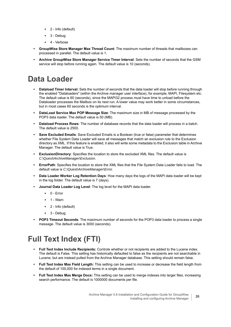- **▪** 2 Info (default)
- **▪** 3 Debug
- **▪** 4 Verbose
- **GroupWise Store Manager Max Thread Count**: The maximum number of threads that mailboxes can processed in parallel. The default value is 1.
- **Archive GroupWise Store Manager Service Timer Interval**: Sets the number of seconds that the GSM service will stop before running again. The default value is 10 (seconds).

### <span id="page-25-0"></span>**Data Loader**

- **Dataload Timer Interval:** Sets the number of seconds that the data loader will stop before running through the enabled "Dataloaders" (within the Archive manager user interface), for example, MAPI, Filesystem etc. The default value is 60 (seconds), since the MAPI32 process must have time to unload before the Dataloader processes the Mailbox on its next run. A lower value may work better in some circumstances, but in most cases 60 seconds is the optimum interval.
- **DataLoad Service Max POP Message Size**: The maximum size in MB of message processed by the POP3 data loader. The default value is 50 (MB).
- **Dataload Process Rows**: The number of database records that the data loader will process in a batch. The default value is 2500.
- **Save Excluded Emails**: Save Excluded Emails is a Boolean (true or false) parameter that determines whether File System Data Loader will save all messages that match an exclusion rule to the Exclusion directory as XML. If this feature is enabled, it also will write some metadata to the Exclusion table in Archive Manager. The default value is True.
- **ExclusionDirectory**: Specifies the location to store the excluded XML files. The default value is *C:\Quest\ArchiveManager\Exclusion*.
- **ErrorPath**: Specifies the location to store the XML files that the File System Data Loader fails to load. The default value is *C:\Quest\ArchiveManager\Error.*
- **Data Loader Worker Log Retention Days**: How many days the logs of the MAPI data loader will be kept in the log folder. The default value is 7 (days).
- **Journal Data Loader Log Level**: The log level for the MAPI data loader.
	- **▪** 0 Error
	- **▪** 1 Warn
	- **▪** 2 Info (default)
	- **▪** 3 Debug
- **POP3 Timeout Seconds**: The maximum number of seconds for the POP3 data loader to process a single message. The default value is 3000 (seconds).

### <span id="page-25-1"></span>**Full Text Index (FTI)**

- **Full Text Index Include Recipients:** Controls whether or not recipients are added to the Lucene index. The default is False. This setting has historically defaulted to false as the recipients are not searchable in Lucene, but are instead pulled from the Archive Manager database. This setting should remain false.
- **Full Text Index Max Field Length:** This setting can be used to increase or decrease the field length from the default of 100,000 for indexed terms in a single document.
- **Full Text Index Max Merge Docs:** This setting can be used to merge indexes into larger files, increasing search performance. The default is 1000000 documents per file.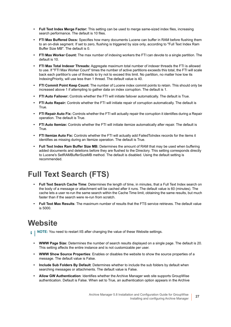- **Full Text Index Merge Factor:** This setting can be used to merge same-sized index files, increasing search performance. The default is 10 files.
- **FTI Max Buffered Docs:** Specifies how many documents Lucene can buffer in RAM before flushing them to an on-disk segment. If set to zero, flushing is triggered by size only, according to "Full Text Index Ram Buffer Size MB". The default is 0.
- **FTI Max Worker Count:** The max number of indexing workers the FTI can devote to a single partition. The default is 10.
- **FTI Max Total Indexer Threads:** Aggregate maximum total number of indexer threads the FTI is allowed to use. If "FTI Max Worker Count" times the number of active partitions exceeds this total, the FTI will scale back each partition's use of threads to try not to exceed this limit. No partition, no matter how low its IndexingPriority, will use less than 1 thread. The default value is 40.
- **FTI Commit Point Keep Count:** The number of Lucene index commit points to retain. This should only be increased above 1 if attempting to gather data on index corruption. The default is 1.
- **FTI Auto Failover:** Controls whether the FTI will initiate failover automatically. The default is True.
- **FTI Auto Repair:** Controls whether the FTI will initiate repair of corruption automatically. The default is True.
- **FTI Repair Auto Fix:** Controls whether the FTI will actually repair the corruption it identifies during a Repair operation. The default is True.
- **FTI Auto Itemize:** Controls whether the FTI will initiate itemize automatically after repair. The default is True.
- **FTI Itemize Auto Fix:** Controls whether the FTI will actually add FailedToIndex records for the items it identifies as missing during an Itemize operation. The default is True.
- **Full Text Index Ram Buffer Size MB:** Determines the amount of RAM that may be used when buffering added documents and deletions before they are flushed to the Directory. This setting corresponds directly to Lucene's SetRAMBufferSizeMB method. The default is disabled. Using the default setting is recommended.

### <span id="page-26-0"></span>**Full Text Search (FTS)**

- **Full Text Search Cache Time**: Determines the length of time, in minutes, that a Full Text Index search on the body of a message or attachment will be cached after it runs. The default value is 60 (minutes). The cache lets a user re-run the same search within the Cache Time limit, obtaining the same results, but much faster than if the search were re-run from scratch.
- **Full Text Max Results**: The maximum number of results that the FTS service retrieves. The default value is 5000.

### <span id="page-26-1"></span>**Website**

- **i** | NOTE: You need to restart IIS after changing the value of these Website settings.
	- **WWW Page Size:** Determines the number of search results displayed on a single page. The default is 20. This setting affects the entire instance and is not customizable per user.
	- **WWW Show Source Properties**: Enables or disables the website to show the source properties of a message. The default value is False.
	- **Include Sub Folders By Default**: Determines whether to include the sub folders by default when searching messages or attachments. The default value is False.
	- **Allow GW Authentication**: Identifies whether the Archive Manager web site supports GroupWise authentication. Default is False. When set to True, an authentication option appears in the Archive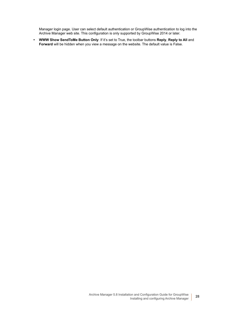Manager login page. User can select default authentication or GroupWise authentication to log into the Archive Manager web site. This configuration is only supported by GroupWise 2014 or later.

**• WWW Show SendToMe Button Only**: If it's set to True, the toolbar buttons **Reply**, **Reply to All** and **Forward** will be hidden when you view a message on the website. The default value is False.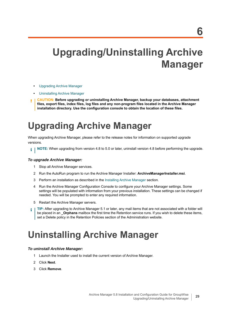# <span id="page-28-0"></span>**Upgrading/Uninstalling Archive Manager**

- **•** [Upgrading Archive Manager](#page-28-1)
- **•** [Uninstalling Archive Manager](#page-28-2)
- **CAUTION: Before upgrading or uninstalling Archive Manager, backup your databases, attachment files, export files, index files, log files and any non-program files located in the Archive Manager installation directory. Use the configuration console to obtain the location of these files.**

## <span id="page-28-1"></span>**Upgrading Archive Manager**

When upgrading Archive Manager, please refer to the release notes for information on supported upgrade versions.

**NOTE:** When upgrading from version 4.8 to 5.0 or later, uninstall version 4.8 before performing the upgrade. i l

#### *To upgrade Archive Manager:*

- 1 Stop all Archive Manager services.
- 2 Run the AutoRun program to run the Archive Manager Installer: **ArchiveManagerInstaller.msi**.
- 3 Perform an installation as described in the [Installing Archive Manager](#page-18-3) section.
- 4 Run the Archive Manager Configuration Console to configure your Archive Manager settings. Some settings will be populated with information from your previous installation. These settings can be changed if needed. You will be prompted to enter any required information.
- 5 Restart the Archive Manager servers.
- **TIP:** After upgrading to Archive Manager 5.1 or later, any mail items that are not associated with a folder will ÷ be placed in an **\_Orphans** mailbox the first time the Retention service runs. If you wish to delete these items, set a Delete policy in the Retention Policies section of the Administration website.

## <span id="page-28-2"></span>**Uninstalling Archive Manager**

#### *To uninstall Archive Manager:*

- 1 Launch the Installer used to install the current version of Archive Manager.
- 2 Click **Next**.
- 3 Click **Remove**.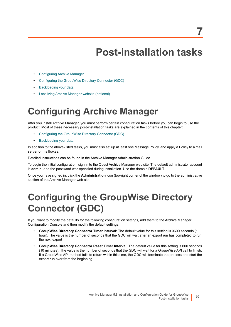# <span id="page-29-3"></span>**Post-installation tasks**

- <span id="page-29-0"></span>**•** [Configuring Archive Manager](#page-29-1)
- **•** [Configuring the GroupWise Directory Connector \(GDC\)](#page-29-2)
- **•** [Backloading your data](#page-30-0)
- **•** [Localizing Archive Manager website \(optional\)](#page-30-1)

## <span id="page-29-1"></span>**Configuring Archive Manager**

After you install Archive Manager, you must perform certain configuration tasks before you can begin to use the product. Most of these necessary post-installation tasks are explained in the contents of this chapter:

- **•** [Configuring the GroupWise Directory Connector \(GDC\)](#page-29-2)
- **•** [Backloading your data](#page-30-0)

In addition to the above-listed tasks, you must also set up at least one Message Policy, and apply a Policy to a mail server or mailboxes.

Detailed instructions can be found in the Archive Manager Administration Guide.

To begin the initial configuration, sign in to the Quest Archive Manager web site. The default administrator account is **admin**, and the password was specified during installation. Use the domain **DEFAULT**.

Once you have signed in, click the **Administration** icon (top-right corner of the window) to go to the administrative section of the Archive Manager web site.

## <span id="page-29-2"></span>**Configuring the GroupWise Directory Connector (GDC)**

If you want to modify the defaults for the following configuration settings, add them to the Archive Manager Configuration Console and then modify the default settings.

- **GroupWise Directory Connector Timer Interval:** The default value for this setting is 3600 seconds (1 hour). The value is the number of seconds that the GDC will wait after an export run has completed to run the next export
- **GroupWise Directory Connector Reset Timer Interval:** The default value for this setting is 600 seconds (10 minutes). The value is the number of seconds that the GDC will wait for a GroupWise API call to finish. If a GroupWise API method fails to return within this time, the GDC will terminate the process and start the export run over from the beginning.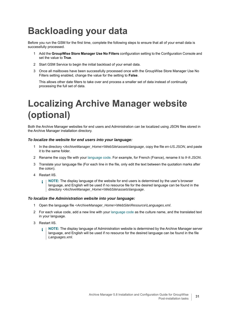# <span id="page-30-0"></span>**Backloading your data**

Before you run the GSM for the first time, complete the following steps to ensure that all of your email data is successfully processed.

- 1 Add the **GroupWise Store Manager Use No Filters** configuration setting to the Configuration Console and set the value to **True**.
- 2 Start GSM Service to begin the initial backload of your email data.
- 3 Once all mailboxes have been successfully processed once with the GroupWise Store Manager Use No Filters setting enabled, change the value for the setting to **False**.

This allows other date filters to take over and process a smaller set of data instead of continually processing the full set of data.

# <span id="page-30-1"></span>**Localizing Archive Manager website (optional)**

Both the Archive Manager websites for end users and Administration can be localized using JSON files stored in the Archive Manager installation directory.

#### *To localize the website for end users into your language:*

- 1 In the directory *<ArchiveManager\_Home>\WebSite\assets\language*, copy the file *en-US.JSON*, and paste it to the same folder.
- 2 Rename the copy file with your [language code](https://www.metamodpro.com/browser-language-codes). For example, for French (France), rename it to *fr-fr.JSON*.
- 3 Translate your language file (For each line in the file, only edit the text between the quotation marks after the colon).
- 4 Restart IIS.
	- **NOTE:** The display language of the website for end users is determined by the user's browser ÷. language, and English will be used if no resource file for the desired language can be found in the directory *<ArchiveManager\_Home>\WebSite\assets\language*.

#### *To localize the Administration website into your language:*

- 1 Open the language file *<ArchiveManager\_Home>\WebSite\Resource\Languages.xml*.
- 2 For each value code, add a new line with your [language code](https://www.metamodpro.com/browser-language-codes) as the culture name, and the translated text in your language.
- 3 Restart IIS.
	- **NOTE:** The display language of Administration website is determined by the Archive Manager server å language, and English will be used if no resource for the desired language can be found in the file *Languages.xml*.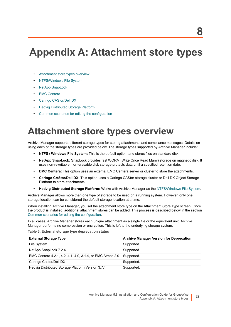# <span id="page-31-0"></span>**Appendix A: Attachment store types**

- **•** [Attachment store types overview](#page-31-1)
- **•** [NTFS/Windows File System](#page-32-0)
- **•** [NetApp SnapLock](#page-32-1)
- **•** [EMC Centera](#page-33-0)
- **•** [Caringo CAStor/Dell DX](#page-34-0)
- **•** [Hedvig Distributed Storage Platform](#page-34-1)
- **•** [Common scenarios for editing the configuration](#page-34-2)

## <span id="page-31-1"></span>**Attachment store types overview**

Archive Manager supports different storage types for storing attachments and compliance messages. Details on using each of the storage types are provided below. The storage types supported by Archive Manager include:

- **NTFS / Windows File System:** This is the default option, and stores files on standard disk.
- **NetApp SnapLock:** SnapLock provides fast WORM (Write Once Read Many) storage on magnetic disk. It uses non-rewritable, non-erasable disk storage protects data until a specified retention date.
- **EMC Centera:** This option uses an external EMC Centera server or cluster to store the attachments.
- **Caringo CAStor/Dell DX:** This option uses a Caringo CAStor storage cluster or Dell DX Object Storage Platform to store attachments.
- **Hedvig Distributed Storage Platform:** Works with Archive Manager as the [NTFS/Windows File System](#page-32-0).

Archive Manager allows more than one type of storage to be used on a running system. However, only one storage location can be considered the default storage location at a time.

When installing Archive Manager, you set the attachment store type on the Attachment Store Type screen. Once the product is installed, additional attachment stores can be added. This process is described below in the section [Common scenarios for editing the configuration](#page-34-2).

In all cases, Archive Manager stores each unique attachment as a single file or the equivalent unit. Archive Manager performs no compression or encryption. This is left to the underlying storage system.

**Table 3. External storage type deprecation status**

| <b>External Storage Type</b>                              | <b>Archive Manager Version for Deprecation</b> |
|-----------------------------------------------------------|------------------------------------------------|
| File System                                               | Supported.                                     |
| NetApp SnapLock 7.2.4                                     | Supported.                                     |
| EMC Centera 4.2.1, 4.2, 4.1, 4.0, 3.1.4, or EMC Atmos 2.0 | Supported.                                     |
| Caringo Castor/Dell DX                                    | Supported.                                     |
| Hedvig Distributed Storage Platform Version 3.7.1         | Supported.                                     |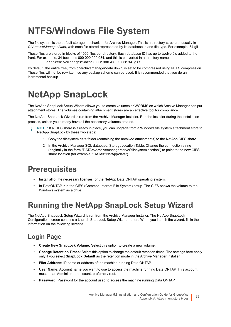# <span id="page-32-0"></span>**NTFS/Windows File System**

The file system is the default storage mechanism for Archive Manager. This is a directory structure, usually in *C:\ArchiveManager\Data*, with each file stored represented by its database id and file type. For example: 34.gif

These files are stored in blocks of 1000 files per directory. Each database ID has up to twelve 0's added to the front. For example, 34 becomes 000 000 000 034, and this is converted in a directory name: c:\archivemanager\data\000\000\000\000\34.gif

By default, the entire tree, from c:\archivemanager\data down, is set to be compressed using NTFS compression. These files will not be rewritten, so any backup scheme can be used. It is recommended that you do an incremental backup.

# <span id="page-32-1"></span>**NetApp SnapLock**

The NetApp SnapLock Setup Wizard allows you to create volumes or WORMS on which Archive Manager can put attachment stores. The volumes containing attachment stores are an effective tool for compliance.

The NetApp SnapLock Wizard is run from the Archive Manager Installer. Run the installer during the installation process, unless you already have all the necessary volumes created.

- **NOTE:** If a CIFS share is already in place, you can upgrade from a Windows file system attachment store to NetApp SnapLock by these two steps:
	- 1 Copy the filesystem data folder (containing the archived attachments) to the NetApp CIFS share.
	- 2 In the Archive Manager SQL database, StorageLocation Table: Change the connection string (originally in the form "DATA=\\archivemanagerserver\filesystemlocation") to point to the new CIFS share location (for example, "DATA=\\NetApp\data").

### <span id="page-32-2"></span>**Prerequisites**

- **•** Install all of the necessary licenses for the NetApp Data ONTAP operating system.
- **•** In DataONTAP, run the CIFS (Common Internet File System) setup. The CIFS shows the volume to the Windows system as a drive.

### <span id="page-32-3"></span>**Running the NetApp SnapLock Setup Wizard**

The NetApp SnapLock Setup Wizard is run from the Archive Manager Installer. The NetApp SnapLock Configuration screen contains a Launch SnapLock Setup Wizard button. When you launch the wizard, fill in the information on the following screens:

### **Login Page**

- **Create New SnapLock Volume:** Select this option to create a new volume.
- **Change Retention Times:** Select this option to change the default retention times. The settings here apply only if you select **SnapLock Default** as the retention mode in the Archive Manager Installer.
- **Filer Address:** IP name or address of the machine running Data ONTAP.
- **User Name:** Account name you want to use to access the machine running Data ONTAP. This account must be an Administrator account, preferably root.
- **Password:** Password for the account used to access the machine running Data ONTAP.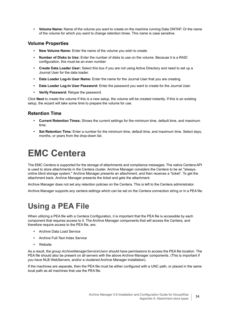**• Volume Name:** Name of the volume you want to create on the machine running Data ONTAP. Or the name of the volume for which you want to change retention times. This name is case sensitive.

#### **Volume Properties**

- **New Volume Name:** Enter the name of the volume you wish to create.
- **Number of Disks to Use:** Enter the number of disks to use on the volume. Because it is a RAID configuration, this must be an even number.
- **Create Data Loader User:** Select this box if you are not using Active Directory and need to set up a Journal User for the data loader.
- **Data Loader Log-In User Name:** Enter the name for the Journal User that you are creating.
- **Data Loader Log-In User Password:** Enter the password you want to create for the Journal User.
- **Verify Password:** Retype the password.

Click **Next** to create the volume If this is a new setup, the volume will be created instantly. If this is an existing setup, the wizard will take some time to prepare the volume for use.

#### **Retention Time**

- **Current Retention Times:** Shows the current settings for the minimum time, default time, and maximum time.
- **Set Retention Time:** Enter a number for the minimum time, default time, and maximum time. Select days, months, or years from the drop-down list.

## <span id="page-33-0"></span>**EMC Centera**

The EMC Centera is supported for the storage of attachments and compliance messages. The native Centera API is used to store attachments in the Centera cluster. Archive Manager considers the Centera to be an "alwaysonline blind storage system." Archive Manager presents an attachment, and then receives a "ticket". To get the attachment back, Archive Manager presents the ticket and gets the attachment.

Archive Manager does not set any retention policies on the Centera. This is left to the Centera administrator.

Archive Manager supports any centera settings which can be set on the Centera connection string or in a PEA file.

### <span id="page-33-1"></span>**Using a PEA File**

When utilizing a PEA file with a Centera Configuration, it is important that the PEA file is accessible by each component that requires access to it. The Archive Manager components that will access the Centera, and therefore require access to the PEA file, are:

- **•** Archive Data Load Service
- **•** Archive Full-Text Index Service
- **•** Website

As a result, the group *ArchiveManagerServiceUsers* should have permissions to access the PEA file location. The PEA file should also be present on all servers with the above Archive Manager components. (This is important if you have NLB WebServers, and/or a clustered Archive Manager installation).

If the machines are separate, then the PEA file must be either configured with a UNC path, or placed in the same local path as all machines that use the PEA file.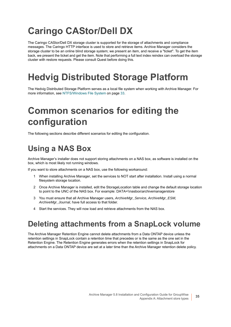# <span id="page-34-0"></span>**Caringo CAStor/Dell DX**

The Caringo CAStor/Dell DX storage cluster is supported for the storage of attachments and compliance messages. The Caringo HTTP interface is used to store and retrieve items. Archive Manager considers the storage cluster to be an online blind storage system; we present an item, and receive a "ticket". To get the item back, we present the ticket and get the item. Note that performing a full text index reindex can overload the storage cluster with restore requests. Please consult Quest before doing this.

## <span id="page-34-1"></span>**Hedvig Distributed Storage Platform**

The Hedvig Distributed Storage Platform serves as a local file system when working with Archive Manager. [For](#page-32-0)  [more information, see NTFS/Windows File System on page 33.](#page-32-0)

## <span id="page-34-2"></span>**Common scenarios for editing the configuration**

The following sections describe different scenarios for editing the configuration.

### <span id="page-34-3"></span>**Using a NAS Box**

Archive Manager's installer does not support storing attachments on a NAS box, as software is installed on the box, which is most likely not running windows.

If you want to store attachments on a NAS box, use the following workaround:

- 1 When installing Archive Manager, set the services to NOT start after installation. Install using a normal filesystem storage location.
- 2 Once Archive Manager is installed, edit the StorageLocation table and change the default storage location to point to the UNC of the NAS box. For example: DATA=\\nasbox\archivemanagerstore
- 3 You must ensure that all Archive Manager users, *ArchiveMgr\_Service, ArchiveMgr\_ESM, ArchiveMgr\_Journal*, have full access to that folder.
- 4 Start the services. They will now load and retrieve attachments from the NAS box.

### <span id="page-34-4"></span>**Deleting attachments from a SnapLock volume**

The Archive Manager Retention Engine cannot delete attachments from a Data ONTAP device unless the retention settings in SnapLock contain a retention time that precedes or is the same as the one set in the Retention Engine. The Retention Engine generates errors when the retention settings in SnapLock for attachments on a Data ONTAP device are set at a later time than the Archive Manager retention delete policy.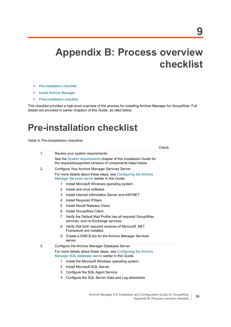# <span id="page-35-0"></span>**Appendix B: Process overview checklist**

- **•** [Pre-installation checklist](#page-35-1)
- **•** [Install Archive Manager](#page-36-0)
- **•** [Post-installation checklist](#page-36-1)

This checklist provides a high-level overview of the process for installing Archive Manager for GroupWise. Full details are provided in earlier chapters of this Guide, as cited below.

### <span id="page-35-1"></span>**Pre-installation checklist**

#### **Table 4. Pre-Installation checklist**

| 1. | Review your system requirements.                                                                                                  |
|----|-----------------------------------------------------------------------------------------------------------------------------------|
|    | See the System requirements chapter of this Installation Guide for<br>the required/supported versions of components listed below. |
| 2. | Configure Your Archive Manager Services Server.                                                                                   |
|    | For more details about these steps, see Configuring the Archive<br>Manager Services server earlier in this Guide.                 |
|    | Install Microsoft Windows operating system.<br>1                                                                                  |
|    | Install anti-virus software.<br>$\mathcal{P}$                                                                                     |
|    | 3<br>Install Internet Information Server and ASP.NET.                                                                             |
|    | Install Required IFilters.<br>4                                                                                                   |
|    | Install Novell Netware Client.<br>5                                                                                               |
|    | 6<br>Install GroupWise Client.                                                                                                    |
|    | Verify the Default Mail Profile has all required GroupWise<br>7<br>services, and no Exchange services.                            |
|    | Verify that both required versions of Microsoft .NET<br>8<br>Framework are installed.                                             |
|    | Create a DNS Entry for the Archive Manager Services<br>9<br>server.                                                               |
| 3. | Configure the Archive Manager Database Server.                                                                                    |
|    | For more details about these steps, see Configuring the Archive<br>Manager SQL database server earlier in this Guide.             |
|    | Install the Microsoft Windows operating system.<br>1                                                                              |
|    | Install Microsoft SQL Server.<br>2                                                                                                |
|    | 3<br>Configure the SQL Agent Service.                                                                                             |
|    | Configure the SQL Server Data and Log directories.<br>4                                                                           |
|    |                                                                                                                                   |

Check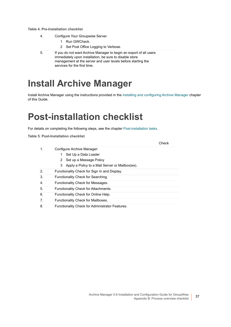#### **Table 4. Pre-Installation checklist**

- 4. Configure Your Groupwise Server.
	- 1 Run GWCheck.
	- 2 Set Post Office Logging to Verbose.
- 5. If you do not want Archive Manager to begin an export of all users immediately upon installation, be sure to disable store management at the server and user levels before starting the services for the first time.

## <span id="page-36-0"></span>**Install Archive Manager**

Install Archive Manager using the instructions provided in the [Installing and configuring Archive Manager](#page-18-4) chapter of this Guide.

### <span id="page-36-1"></span>**Post-installation checklist**

For details on completing the following steps, see the chapter [Post-installation tasks](#page-29-3).

**Table 5. Post-Installation checklist**

| 1. | Configure Archive Manager:                        |  |  |  |  |  |
|----|---------------------------------------------------|--|--|--|--|--|
|    | Set Up a Data Loader                              |  |  |  |  |  |
|    | 2 Set up a Message Policy                         |  |  |  |  |  |
|    | 3 Apply a Policy to a Mail Server or Mailbox(es). |  |  |  |  |  |
| 2. | Functionality Check for Sign In and Display.      |  |  |  |  |  |
| 3. | Functionality Check for Searching.                |  |  |  |  |  |
| 4. | Functionality Check for Messages.                 |  |  |  |  |  |
| 5. | Functionality Check for Attachments.              |  |  |  |  |  |
| 6. | Functionality Check for Online Help.              |  |  |  |  |  |
| 7. | Functionality Check for Mailboxes.                |  |  |  |  |  |
| 8. | Functionality Check for Administrator Features.   |  |  |  |  |  |

Check